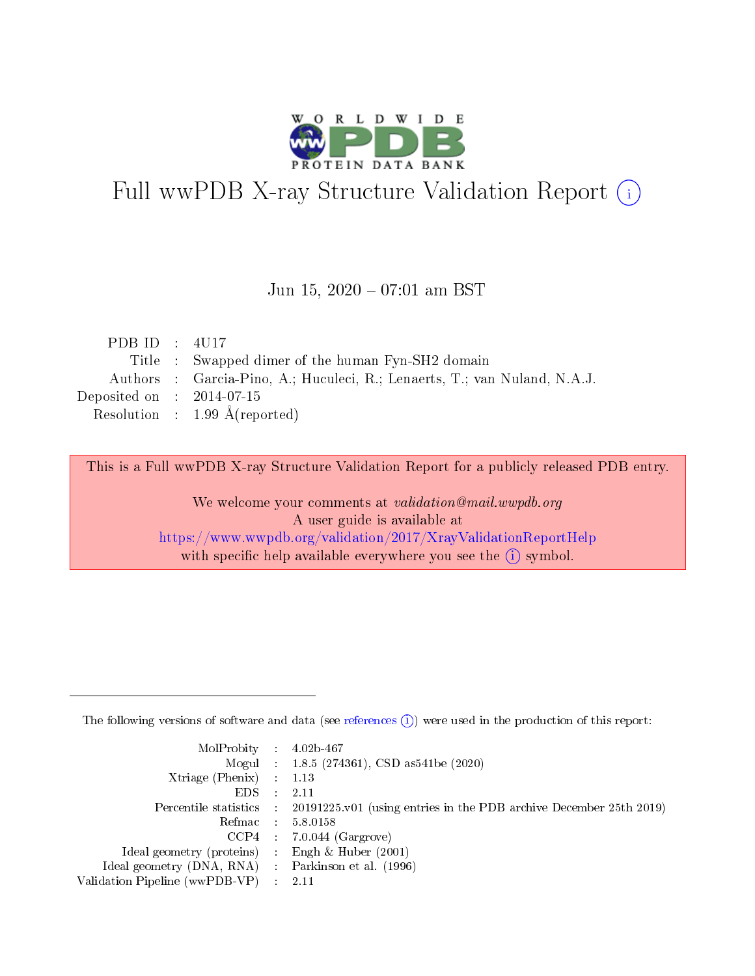

# Full wwPDB X-ray Structure Validation Report (i)

#### Jun 15,  $2020 - 07:01$  am BST

| Authors : Garcia-Pino, A.; Huculeci, R.; Lenaerts, T.; van Nuland, N.A.J. |
|---------------------------------------------------------------------------|
|                                                                           |
|                                                                           |
|                                                                           |

This is a Full wwPDB X-ray Structure Validation Report for a publicly released PDB entry.

We welcome your comments at validation@mail.wwpdb.org A user guide is available at <https://www.wwpdb.org/validation/2017/XrayValidationReportHelp> with specific help available everywhere you see the  $(i)$  symbol.

The following versions of software and data (see [references](https://www.wwpdb.org/validation/2017/XrayValidationReportHelp#references)  $(1)$ ) were used in the production of this report:

| $MolProbability$ : 4.02b-467                       |               |                                                                                            |
|----------------------------------------------------|---------------|--------------------------------------------------------------------------------------------|
|                                                    |               | Mogul : $1.8.5$ (274361), CSD as 541be (2020)                                              |
| Xtriage (Phenix) $: 1.13$                          |               |                                                                                            |
| EDS.                                               | $\mathcal{L}$ | -2.11                                                                                      |
|                                                    |               | Percentile statistics : 20191225.v01 (using entries in the PDB archive December 25th 2019) |
|                                                    |               | Refmac : 5.8.0158                                                                          |
|                                                    |               | $CCP4$ 7.0.044 (Gargrove)                                                                  |
| Ideal geometry (proteins) : Engh $\&$ Huber (2001) |               |                                                                                            |
| Ideal geometry (DNA, RNA) Parkinson et al. (1996)  |               |                                                                                            |
| Validation Pipeline (wwPDB-VP) : 2.11              |               |                                                                                            |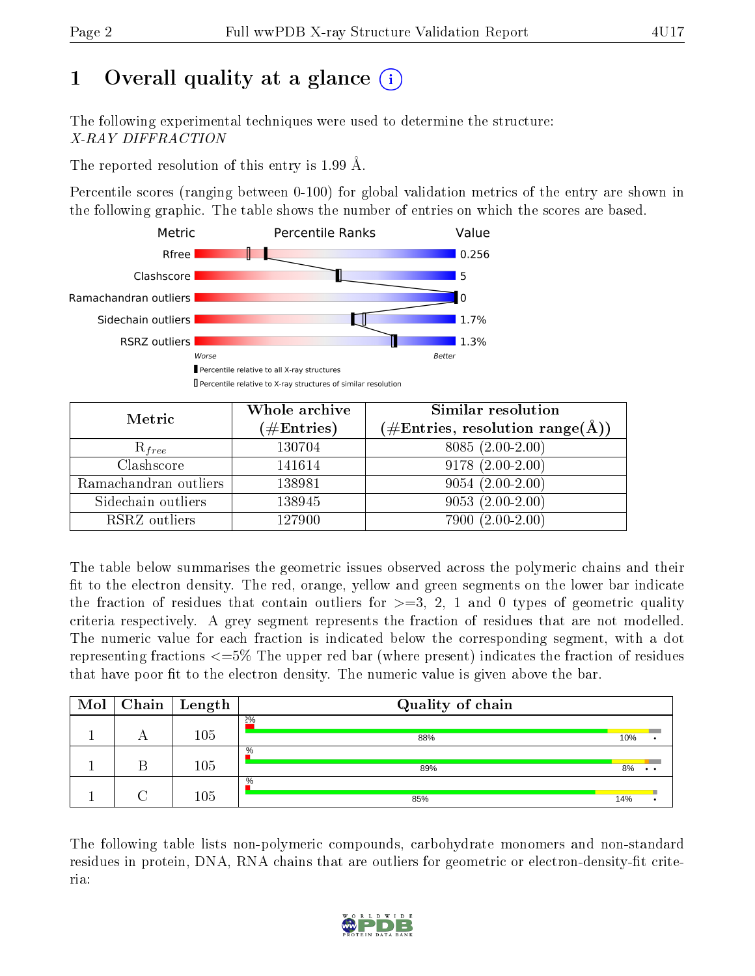# 1 [O](https://www.wwpdb.org/validation/2017/XrayValidationReportHelp#overall_quality)verall quality at a glance  $(i)$

The following experimental techniques were used to determine the structure: X-RAY DIFFRACTION

The reported resolution of this entry is 1.99 Å.

Percentile scores (ranging between 0-100) for global validation metrics of the entry are shown in the following graphic. The table shows the number of entries on which the scores are based.



| Metric                | Whole archive<br>$(\#\text{Entries})$ | Similar resolution<br>$(\#\text{Entries}, \text{resolution range}(\text{\AA}))$ |
|-----------------------|---------------------------------------|---------------------------------------------------------------------------------|
| $R_{free}$            | 130704                                | 8085 (2.00-2.00)                                                                |
| Clashscore            | 141614                                | $9178(2.00-2.00)$                                                               |
| Ramachandran outliers | 138981                                | $9054(2.00-2.00)$                                                               |
| Sidechain outliers    | 138945                                | $9053(2.00-2.00)$                                                               |
| RSRZ outliers         | 127900                                | $7900(2.00-2.00)$                                                               |

The table below summarises the geometric issues observed across the polymeric chains and their fit to the electron density. The red, orange, yellow and green segments on the lower bar indicate the fraction of residues that contain outliers for  $>=3, 2, 1$  and 0 types of geometric quality criteria respectively. A grey segment represents the fraction of residues that are not modelled. The numeric value for each fraction is indicated below the corresponding segment, with a dot representing fractions <=5% The upper red bar (where present) indicates the fraction of residues that have poor fit to the electron density. The numeric value is given above the bar.

| Mol | $Chain$   Length | Quality of chain     |     |
|-----|------------------|----------------------|-----|
|     | 105              | 2%<br>88%            | 10% |
|     | 105              | $\frac{0}{0}$<br>89% | 8%  |
|     | 105              | $\%$<br>85%          | 14% |

The following table lists non-polymeric compounds, carbohydrate monomers and non-standard residues in protein, DNA, RNA chains that are outliers for geometric or electron-density-fit criteria:

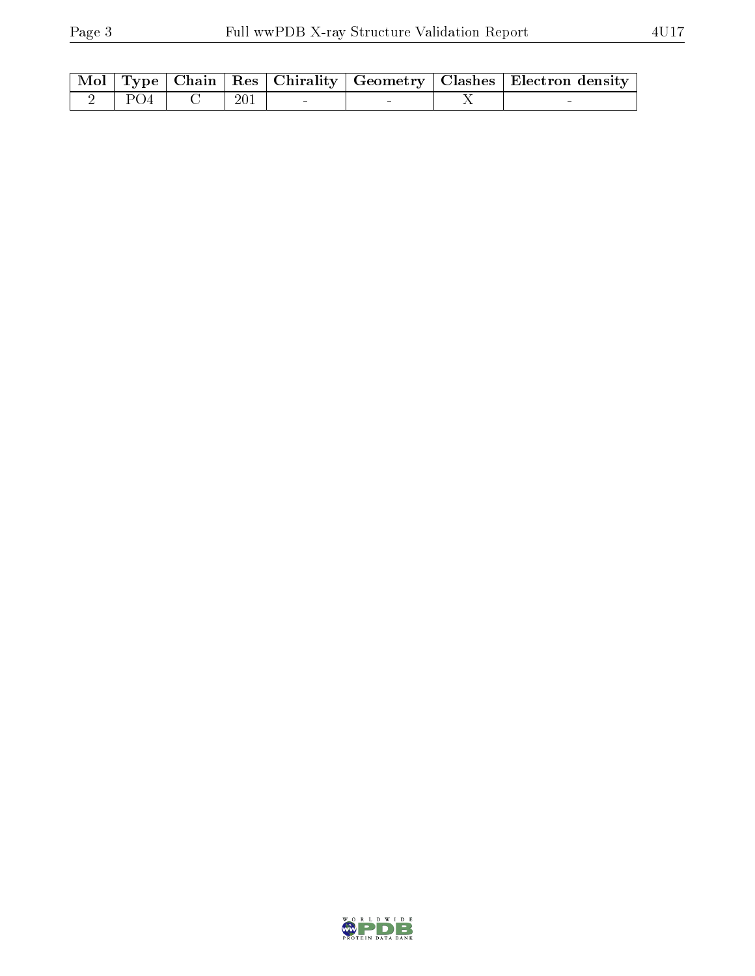|       |       |  | Mol   Type   Chain   Res   Chirality   Geometry   Clashes   Electron density |
|-------|-------|--|------------------------------------------------------------------------------|
| 2 PO4 | - 201 |  |                                                                              |

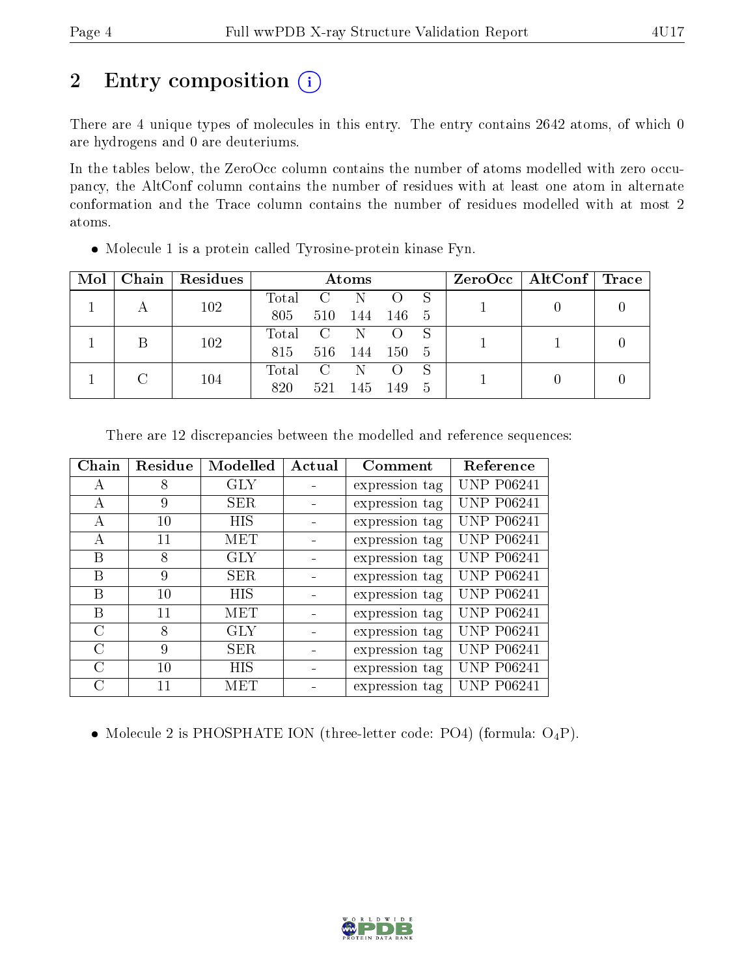## 2 Entry composition (i)

There are 4 unique types of molecules in this entry. The entry contains 2642 atoms, of which 0 are hydrogens and 0 are deuteriums.

In the tables below, the ZeroOcc column contains the number of atoms modelled with zero occupancy, the AltConf column contains the number of residues with at least one atom in alternate conformation and the Trace column contains the number of residues modelled with at most 2 atoms.

| Mol |   | Chain   Residues | Atoms       |                 |      |            |     |  | $ZeroOcc \mid AltConf \mid Trace$ |  |
|-----|---|------------------|-------------|-----------------|------|------------|-----|--|-----------------------------------|--|
|     |   | 102              | Total       | $\overline{C}$  | -N   |            |     |  |                                   |  |
|     | А |                  | 805         | 510             | 144  | - 146      | - 5 |  |                                   |  |
|     |   | 102              | Total C N O |                 |      |            |     |  |                                   |  |
|     |   |                  | 815         | 516             | -144 | 150        | - 5 |  |                                   |  |
|     |   |                  | Total       | $\sim$ C $\sim$ | -N-  | $\bigcirc$ |     |  |                                   |  |
|     |   | 104              | 820         | 521             | 145  | 149        | -5  |  |                                   |  |

Molecule 1 is a protein called Tyrosine-protein kinase Fyn.

| Chain         | Residue | Modelled   | Actual | Comment        | Reference         |
|---------------|---------|------------|--------|----------------|-------------------|
| А             | 8       | GLY        |        | expression tag | <b>UNP P06241</b> |
| А             | 9       | SER.       |        | expression tag | <b>UNP P06241</b> |
| А             | 10      | HIS        |        | expression tag | <b>UNP P06241</b> |
| А             | 11      | MET        |        | expression tag | <b>UNP P06241</b> |
| В             | 8       | GLY        |        | expression tag | <b>UNP P06241</b> |
| Β             | 9       | SER.       |        | expression tag | <b>UNP P06241</b> |
| Β             | 10      | HIS        |        | expression tag | <b>UNP P06241</b> |
| B             | 11      | MET        |        | expression tag | <b>UNP P06241</b> |
| $\mathcal{C}$ | 8       | GLY        |        | expression tag | <b>UNP P06241</b> |
| $\mathcal{C}$ | 9       | <b>SER</b> |        | expression tag | <b>UNP P06241</b> |
| $\bigcap$     | 10      | <b>HIS</b> |        | expression tag | <b>UNP P06241</b> |
| C             | 11      | MET        |        | expression tag | <b>UNP P06241</b> |

There are 12 discrepancies between the modelled and reference sequences:

• Molecule 2 is PHOSPHATE ION (three-letter code: PO4) (formula:  $O_4P$ ).

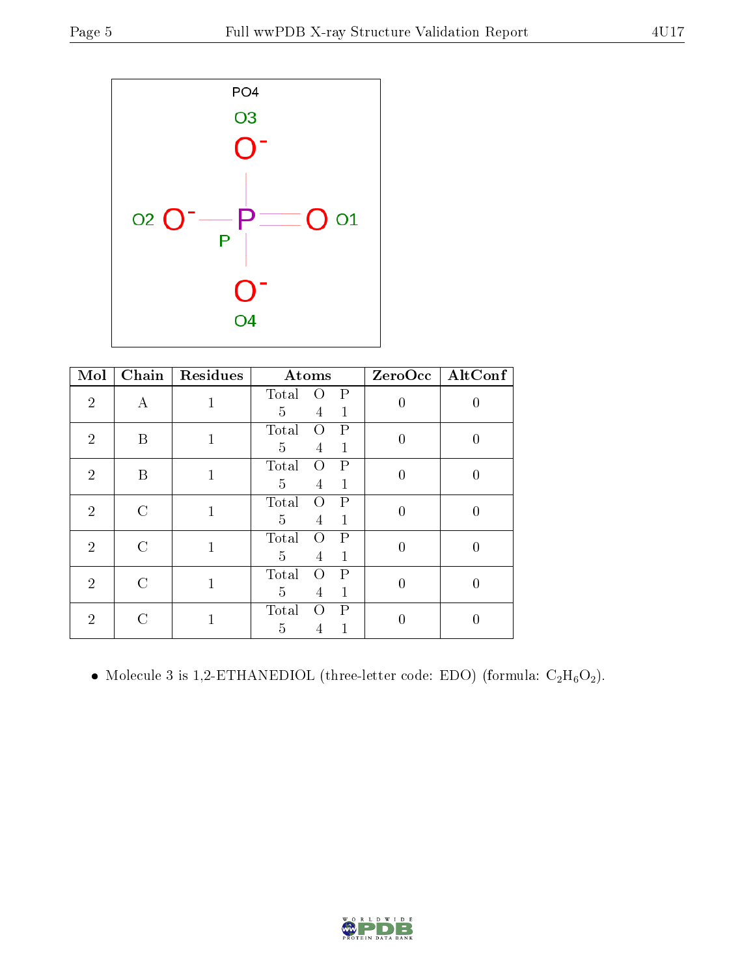

| Mol            | $\overline{\text{Chain}}$ | Residues     | Atoms                                                               | ZeroOcc        | AltConf          |
|----------------|---------------------------|--------------|---------------------------------------------------------------------|----------------|------------------|
| $\overline{2}$ | А                         |              | $\mathsf{P}$<br>Total<br>$\left( \right)$<br>5<br>$\mathbf{1}$<br>4 | 0              | $\left( \right)$ |
| $\overline{2}$ | B                         | $\mathbf{1}$ | Total<br>Р<br>Ω<br>5<br>$\mathbf{1}$<br>4                           | $\overline{0}$ | $\boldsymbol{0}$ |
| $\overline{2}$ | B                         | $\mathbf{1}$ | P<br>Total<br>$\left( \right)$<br>5<br>1<br>4                       | $\overline{0}$ | $\boldsymbol{0}$ |
| $\overline{2}$ | $\rm C$                   | $\mathbf{1}$ | Р<br>Total<br>$\left( \right)$<br>5<br>$\mathbf{1}$<br>4            | $\overline{0}$ | $\overline{0}$   |
| $\overline{2}$ | $\mathcal{C}$             | $\mathbf{1}$ | Total<br>P<br>$\left( \right)$<br>5<br>4<br>$\mathbf{1}$            | $\overline{0}$ | 0                |
| $\overline{2}$ | $\mathcal{C}$             | 1            | Total<br>P<br>$\Omega$<br>5<br>4<br>1                               | $\overline{0}$ | 0                |
| 2              | C                         | 1            | P<br>Total<br>$\left( \right)$<br>5<br>1<br>4                       |                | 0                |

 $\bullet$  Molecule 3 is 1,2-ETHANEDIOL (three-letter code: EDO) (formula:  $\mathrm{C_2H_6O_2}).$ 

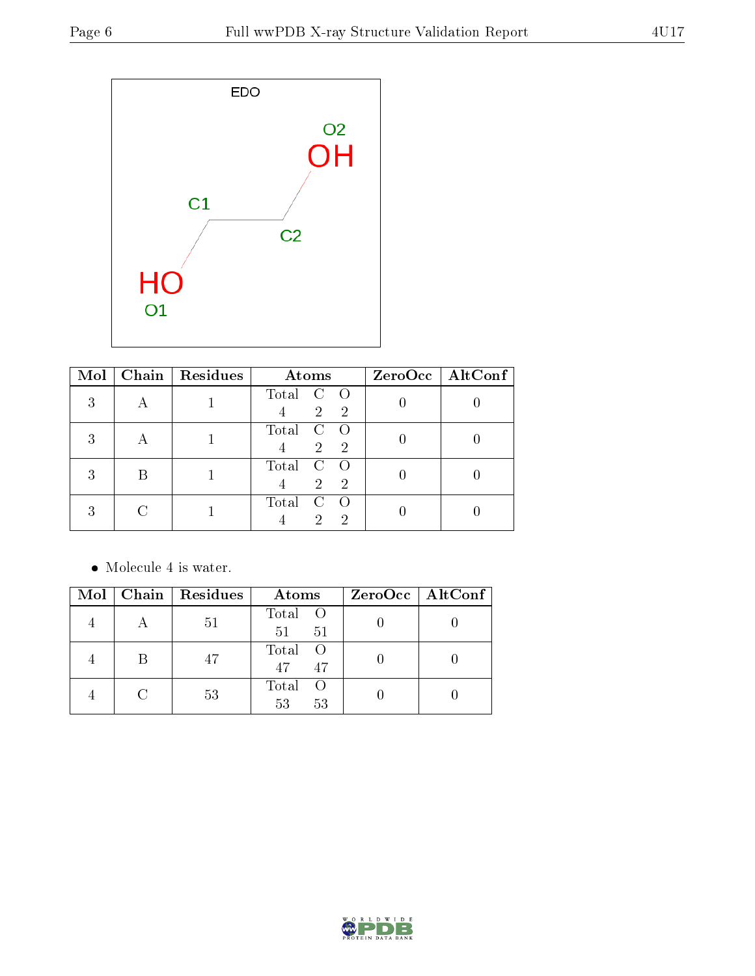

| Mol |   | Chain   Residues | Atoms                                                                      | ZeroOcc   AltConf |
|-----|---|------------------|----------------------------------------------------------------------------|-------------------|
| 3   |   |                  | Total C<br>$\overline{O}$<br>$\overline{2}$<br>$\overline{2}$              |                   |
| 3   |   |                  | Total<br>$\mathbf C$<br>$\overline{O}$<br>$\overline{2}$<br>$\overline{2}$ |                   |
| 3   | В |                  | Total<br>C<br>$2^{\circ}$<br>$\overline{2}$                                |                   |
|     |   |                  | Total<br>C<br>$\mathcal{D}$<br>$\mathcal{D}$                               |                   |

 $\bullet\,$  Molecule 4 is water.

|  | Mol   Chain   Residues | Atoms                                                                     | $ZeroOcc \   \ AltConf \  $ |
|--|------------------------|---------------------------------------------------------------------------|-----------------------------|
|  | 51                     | Total O<br>51<br>-51                                                      |                             |
|  |                        | Total O<br>47<br>47                                                       |                             |
|  | 53                     | Total<br>$\left( \begin{array}{c} 0 \\ 0 \end{array} \right)$<br>53<br>53 |                             |

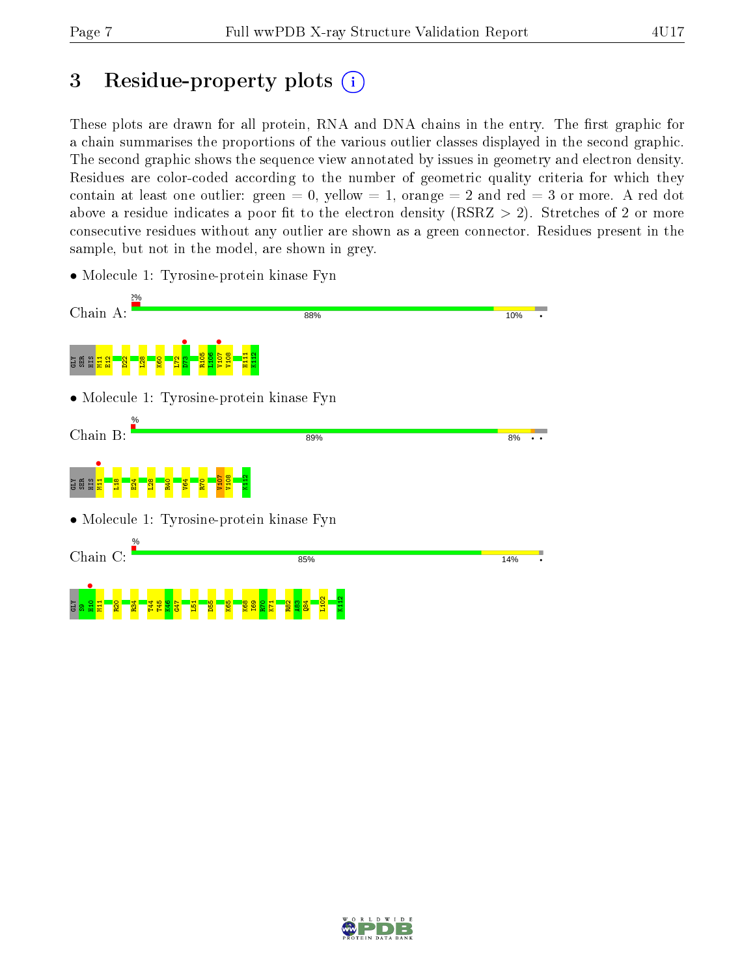# 3 Residue-property plots  $(i)$

These plots are drawn for all protein, RNA and DNA chains in the entry. The first graphic for a chain summarises the proportions of the various outlier classes displayed in the second graphic. The second graphic shows the sequence view annotated by issues in geometry and electron density. Residues are color-coded according to the number of geometric quality criteria for which they contain at least one outlier: green  $= 0$ , yellow  $= 1$ , orange  $= 2$  and red  $= 3$  or more. A red dot above a residue indicates a poor fit to the electron density (RSRZ  $> 2$ ). Stretches of 2 or more consecutive residues without any outlier are shown as a green connector. Residues present in the sample, but not in the model, are shown in grey.

- Chain A: 88% 10%  $\bullet$   $\bullet$  $\frac{107}{107}$ R105 L106 V108 H111 K112 a ger<mark>e a'</mark>  $\frac{28}{1}$  $\frac{80}{20}$  $\frac{172}{2}$ • Molecule 1: Tyrosine-protein kinase Fyn Chain B: 89% 8%  $\overline{\cdot}$  . V107 V108 K112 <u>ទី ធ្លី ដ</u> E24  $\frac{28}{2}$ R40 V64  $\frac{1}{2}$ • Molecule 1: Tyrosine-protein kinase Fyn Chain C: 85% 14% ender<br>George Species<br>George Species L102 K112R34 T44 T45  $\frac{1}{8}$  $\frac{1}{2}$  $\overline{5}$ D55 K65 K68 I69  $\frac{1}{\alpha}$  $E_1$ R82  $\frac{33}{4}$  $\frac{184}{1}$
- Molecule 1: Tyrosine-protein kinase Fyn

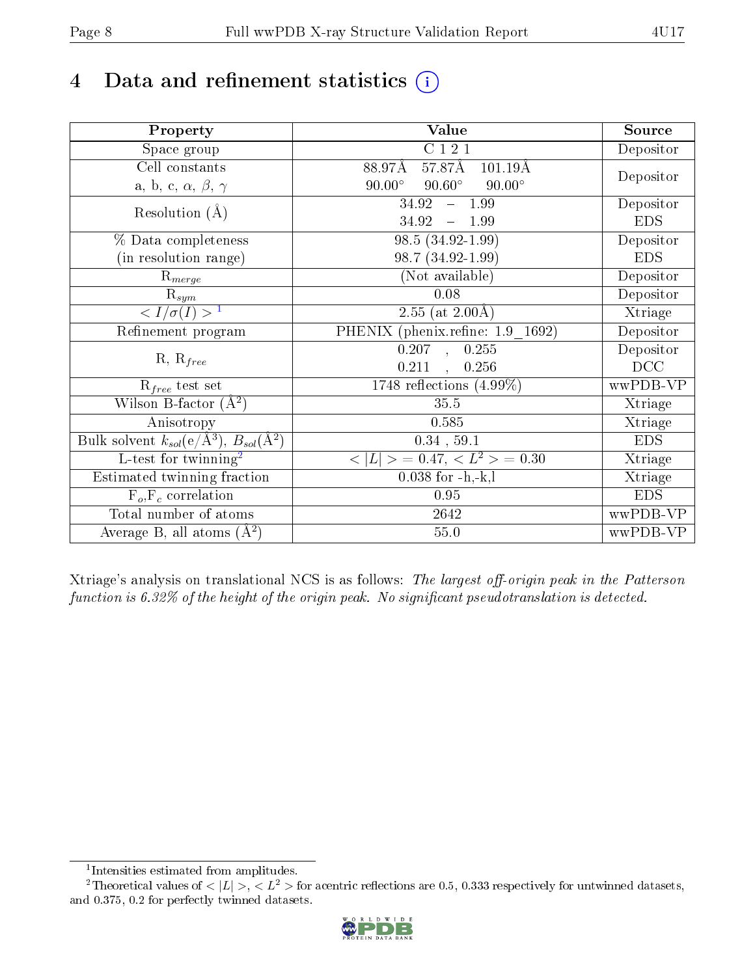# 4 Data and refinement statistics  $(i)$

| Property                                                             | Value                                           | Source     |
|----------------------------------------------------------------------|-------------------------------------------------|------------|
| Space group                                                          | C121                                            | Depositor  |
| Cell constants                                                       | 57.87Å<br>$101.19\text{\AA}$<br>88.97Å          |            |
| a, b, c, $\alpha$ , $\beta$ , $\gamma$                               | $90.60^\circ$<br>$90.00^\circ$<br>$90.00^\circ$ | Depositor  |
| Resolution $(A)$                                                     | 34.92<br>$-1.99$                                | Depositor  |
|                                                                      | 34.92<br>$-1.99$                                | <b>EDS</b> |
| % Data completeness                                                  | 98.5 (34.92-1.99)                               | Depositor  |
| (in resolution range)                                                | 98.7 (34.92-1.99)                               | <b>EDS</b> |
| $R_{merge}$                                                          | (Not available)                                 | Depositor  |
| $\mathrm{R}_{sym}$                                                   | 0.08                                            | Depositor  |
| $\sqrt{I/\sigma}(I) > 1$                                             | $2.55$ (at $2.00\text{\AA})$                    | Xtriage    |
| Refinement program                                                   | PHENIX (phenix.refine: 1.9 1692)                | Depositor  |
| $R, R_{free}$                                                        | $\overline{0.207}$ ,<br>0.255                   | Depositor  |
|                                                                      | 0.211<br>$\ddot{\phantom{a}}$<br>0.256          | DCC        |
| $R_{free}$ test set                                                  | 1748 reflections $(4.99\%)$                     | wwPDB-VP   |
| Wilson B-factor $(A^2)$                                              | 35.5                                            | Xtriage    |
| Anisotropy                                                           | 0.585                                           | Xtriage    |
| Bulk solvent $k_{sol}(e/\mathring{A}^3)$ , $B_{sol}(\mathring{A}^2)$ | $0.34$ , 59.1                                   | <b>EDS</b> |
| L-test for twinning <sup>2</sup>                                     | $< L >$ = 0.47, $< L2 >$ = 0.30                 | Xtriage    |
| Estimated twinning fraction                                          | $0.038$ for $-h,-k,l$                           | Xtriage    |
| $F_o, F_c$ correlation                                               | 0.95                                            | <b>EDS</b> |
| Total number of atoms                                                | 2642                                            | wwPDB-VP   |
| Average B, all atoms $(A^2)$                                         | $55.0\,$                                        | wwPDB-VP   |

Xtriage's analysis on translational NCS is as follows: The largest off-origin peak in the Patterson function is  $6.32\%$  of the height of the origin peak. No significant pseudotranslation is detected.

<sup>&</sup>lt;sup>2</sup>Theoretical values of  $\langle |L| \rangle$ ,  $\langle L^2 \rangle$  for acentric reflections are 0.5, 0.333 respectively for untwinned datasets, and 0.375, 0.2 for perfectly twinned datasets.



<span id="page-7-1"></span><span id="page-7-0"></span><sup>1</sup> Intensities estimated from amplitudes.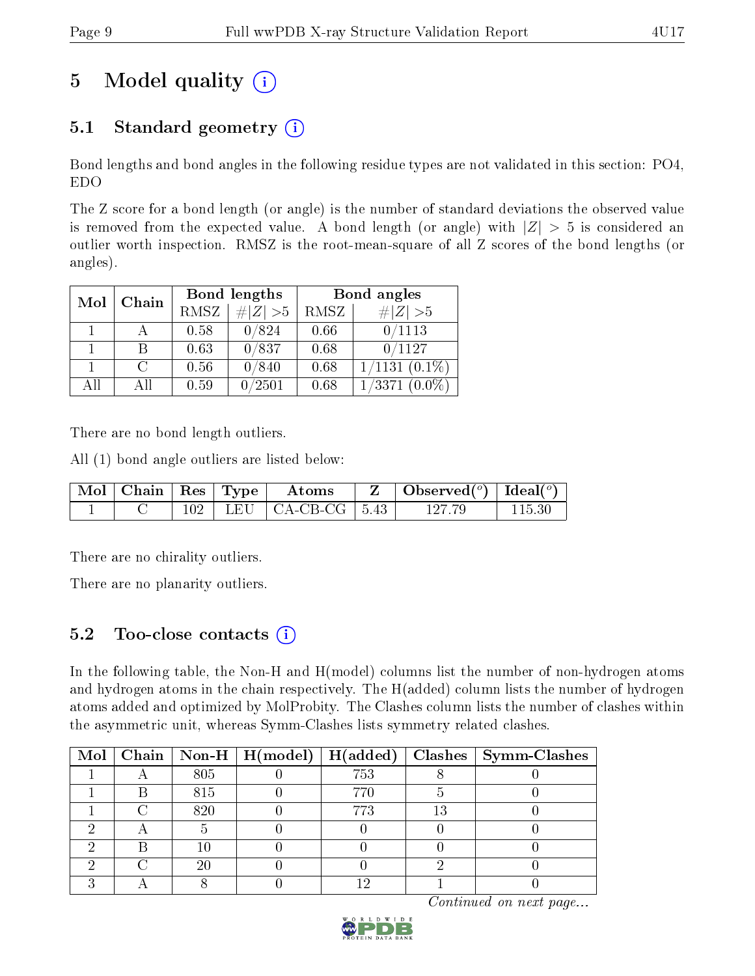# 5 Model quality  $(i)$

### 5.1 Standard geometry  $(i)$

Bond lengths and bond angles in the following residue types are not validated in this section: PO4, EDO

The Z score for a bond length (or angle) is the number of standard deviations the observed value is removed from the expected value. A bond length (or angle) with  $|Z| > 5$  is considered an outlier worth inspection. RMSZ is the root-mean-square of all Z scores of the bond lengths (or angles).

| Mol | Chain |             | Bond lengths  | Bond angles |                    |  |
|-----|-------|-------------|---------------|-------------|--------------------|--|
|     |       | <b>RMSZ</b> | $\# Z  > 5$   | RMSZ        | # $ Z >5$          |  |
|     |       | 0.58        | 0/824         | 0.66        | 0/1113             |  |
|     |       | 0.63        | 0/837         | 0.68        | 0/1127             |  |
|     | C     | 0.56        | /840          | 0.68        | $1/1131$ $(0.1\%)$ |  |
| ΔH  | A II. | 0.59        | $^\prime2501$ | 0.68        | /3371              |  |

There are no bond length outliers.

All (1) bond angle outliers are listed below:

| $\sqrt{\text{Mol}}$   Chain   Res   Type |        | Atoms                             | $\vert$ Observed $(^\circ)\vert$ Ideal $(^\circ)$ |        |
|------------------------------------------|--------|-----------------------------------|---------------------------------------------------|--------|
|                                          | $102-$ | LEU $\vert$ CA-CB-CG $\vert$ 5.43 | 127 79                                            | 115.30 |

There are no chirality outliers.

There are no planarity outliers.

### 5.2 Too-close contacts  $\overline{a}$

In the following table, the Non-H and H(model) columns list the number of non-hydrogen atoms and hydrogen atoms in the chain respectively. The H(added) column lists the number of hydrogen atoms added and optimized by MolProbity. The Clashes column lists the number of clashes within the asymmetric unit, whereas Symm-Clashes lists symmetry related clashes.

|  |     |     | Mol   Chain   Non-H   H(model)   H(added)   Clashes   Symm-Clashes |
|--|-----|-----|--------------------------------------------------------------------|
|  | 805 | 753 |                                                                    |
|  | 815 | 770 |                                                                    |
|  | 820 | 773 |                                                                    |
|  |     |     |                                                                    |
|  |     |     |                                                                    |
|  | 20  |     |                                                                    |
|  |     |     |                                                                    |

Continued on next page...

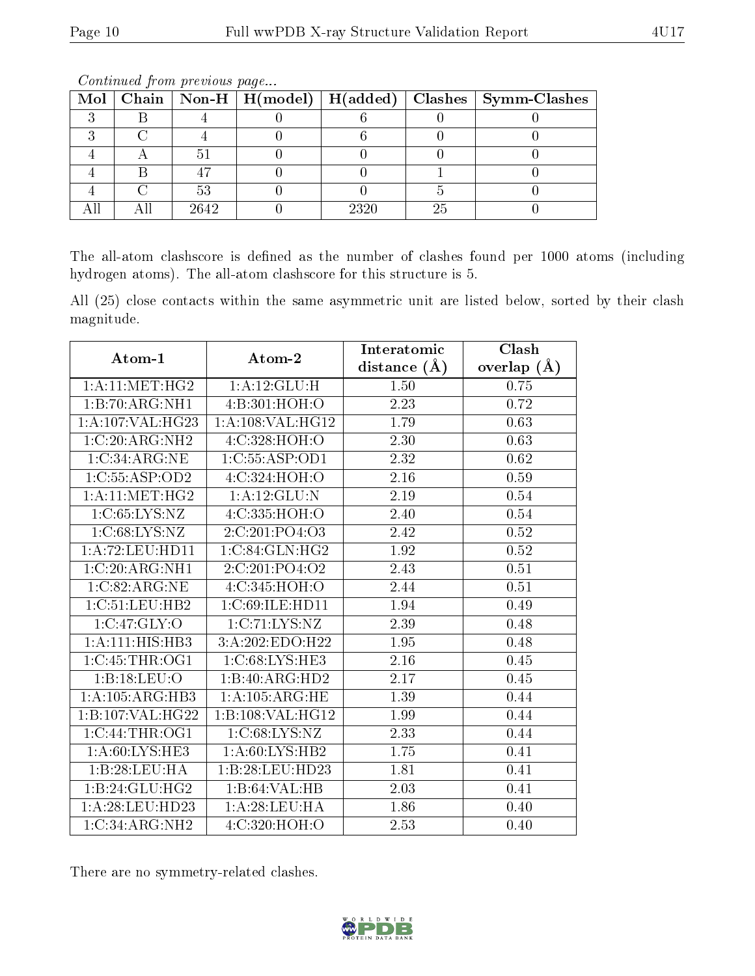|  |      |      |    | Mol   Chain   Non-H   H(model)   H(added)   Clashes   Symm-Clashes |
|--|------|------|----|--------------------------------------------------------------------|
|  |      |      |    |                                                                    |
|  |      |      |    |                                                                    |
|  |      |      |    |                                                                    |
|  |      |      |    |                                                                    |
|  |      |      |    |                                                                    |
|  | 2642 | 2320 | 25 |                                                                    |

Continued from previous page...

The all-atom clashscore is defined as the number of clashes found per 1000 atoms (including hydrogen atoms). The all-atom clashscore for this structure is 5.

All (25) close contacts within the same asymmetric unit are listed below, sorted by their clash magnitude.

| Atom-1              | Atom-2             | Interatomic    | Clash         |
|---------------------|--------------------|----------------|---------------|
|                     |                    | distance $(A)$ | overlap $(A)$ |
| 1: A:11: MET:HG2    | 1:A:12:GLU:H       | 1.50           | 0.75          |
| 1:B:70:ARG:NH1      | 4:B:301:HOH:O      | 2.23           | 0.72          |
| 1: A:107: VAL:HG23  | 1: A:108: VAL:HGI2 | 1.79           | 0.63          |
| 1:C:20:ARG:NH2      | 4:C:328:HOH:O      | 2.30           | 0.63          |
| 1:C:34:ARG:NE       | 1:C:55:ASP:OD1     | 2.32           | 0.62          |
| 1:C:55:ASP:OD2      | 4:C:324:HOH:O      | 2.16           | 0.59          |
| 1: A:11: MET:HG2    | 1: A:12: GLU:N     | 2.19           | 0.54          |
| 1:C:65:LYS:NZ       | 4:C:335:HOH:O      | 2.40           | 0.54          |
| 1:C:68:LYS:NZ       | 2:C:201:PO4:O3     | 2.42           | 0.52          |
| 1: A: 72: LEU: HD11 | 1:C:84:GLN:HG2     | 1.92           | $0.52\,$      |
| 1:C:20:ARG:NH1      | 2:C:201:PO4:O2     | 2.43           | 0.51          |
| 1:C:82:ARG:NE       | 4:C:345:HOH:O      | 2.44           | 0.51          |
| $1: C: 51:$ LEU:HB2 | 1:C:69:ILE:HD11    | 1.94           | 0.49          |
| 1:C:47:GLY:O        | 1:C:71:LYS:NZ      | 2.39           | 0.48          |
| 1:A:111:HIS:HB3     | 3:A:202:EDO:H22    | 1.95           | 0.48          |
| $1:C:45$ : THR: OG1 | 1: C:68: LYS: HE3  | 2.16           | 0.45          |
| 1:B:18:LEU:O        | 1:B:40:ARG:HD2     | 2.17           | 0.45          |
| 1:A:105:ARG:HB3     | 1:A:105:ARG:HE     | 1.39           | 0.44          |
| 1:B:107:VAL:HG22    | 1:B:108:VAL:HG12   | 1.99           | 0.44          |
| 1:C:44:THR:OG1      | 1: C:68: LYS:NZ    | 2.33           | 0.44          |
| 1: A:60: LYS: HE3   | 1: A:60: LYS: HB2  | 1.75           | 0.41          |
| 1:B:28:LEU:HA       | 1:B:28:LEU:HD23    | 1.81           | 0.41          |
| 1:B:24:GLU:HG2      | 1:B:64:VAL:HB      | 2.03           | 0.41          |
| 1: A:28:LEU:HD23    | 1: A:28:LEU:HA     | 1.86           | 0.40          |
| 1:C:34:ARG:NH2      | 4:C:320:HOH:O      | 2.53           | 0.40          |

There are no symmetry-related clashes.

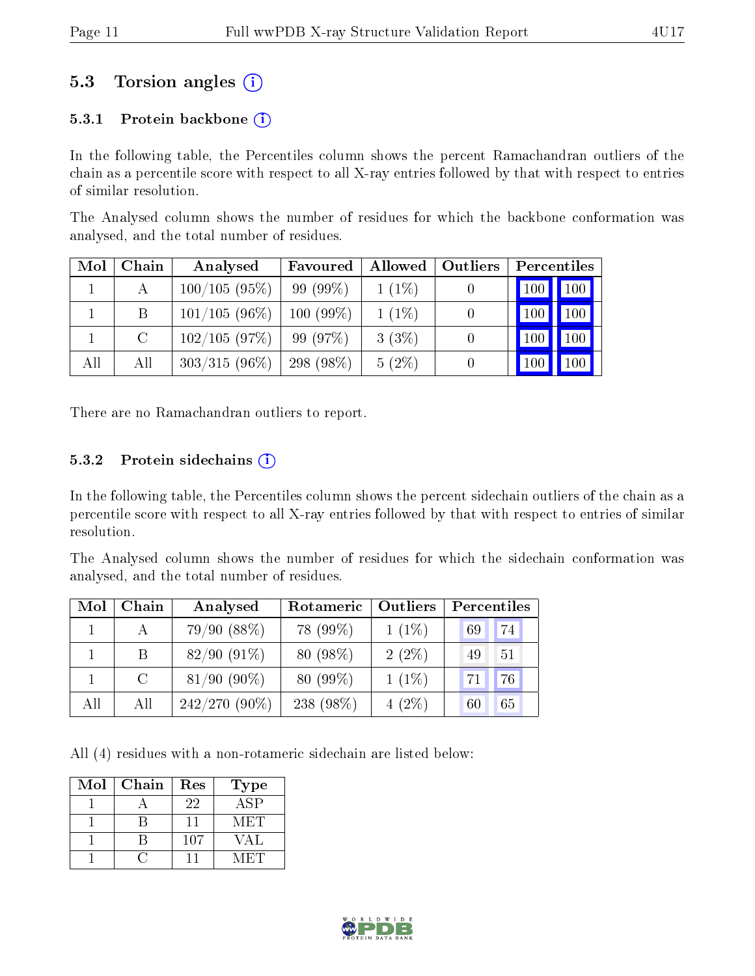### 5.3 Torsion angles  $(i)$

#### 5.3.1 Protein backbone  $(i)$

In the following table, the Percentiles column shows the percent Ramachandran outliers of the chain as a percentile score with respect to all X-ray entries followed by that with respect to entries of similar resolution.

The Analysed column shows the number of residues for which the backbone conformation was analysed, and the total number of residues.

| Mol | Chain         | Analysed        | Favoured     | Allowed  | Outliers | Percentiles         |              |
|-----|---------------|-----------------|--------------|----------|----------|---------------------|--------------|
|     | А             | $100/105(95\%)$ | $99(99\%)$   | $1(1\%)$ |          | $\vert$ 100 $\vert$ | $\vert$ 100  |
|     | B             | $101/105(96\%)$ | $100(99\%)$  | $1(1\%)$ |          | 100                 | $\sqrt{100}$ |
|     | $\mathcal{C}$ | 102/105(97%)    | 99 (97\%)    | 3(3%)    |          | 100                 | 100          |
| All | All           | $303/315(96\%)$ | 298 $(98\%)$ | $5(2\%)$ |          | 100                 | 100          |

There are no Ramachandran outliers to report.

#### 5.3.2 Protein sidechains (i)

In the following table, the Percentiles column shows the percent sidechain outliers of the chain as a percentile score with respect to all X-ray entries followed by that with respect to entries of similar resolution.

The Analysed column shows the number of residues for which the sidechain conformation was analysed, and the total number of residues.

| Mol | Chain   | Analysed        | Rotameric  | Outliers | <b>Percentiles</b> |  |  |
|-----|---------|-----------------|------------|----------|--------------------|--|--|
|     |         | 79/90(88%)      | 78 (99\%)  | $1(1\%)$ | 74<br>69           |  |  |
|     | B       | $82/90(91\%)$   | $80(98\%)$ | $2(2\%)$ | 51<br>49           |  |  |
|     | $\rm C$ | $81/90(90\%)$   | $80(99\%)$ | $1(1\%)$ | 76<br>71           |  |  |
| All | All     | $242/270(90\%)$ | 238 (98\%) | $4(2\%)$ | 65<br>60           |  |  |

All (4) residues with a non-rotameric sidechain are listed below:

| Mol | Chain | Res | Type   |
|-----|-------|-----|--------|
|     |       | 22  | ΑSΡ    |
|     |       |     | MET    |
|     |       | 107 | VAL    |
|     |       |     | M ET F |

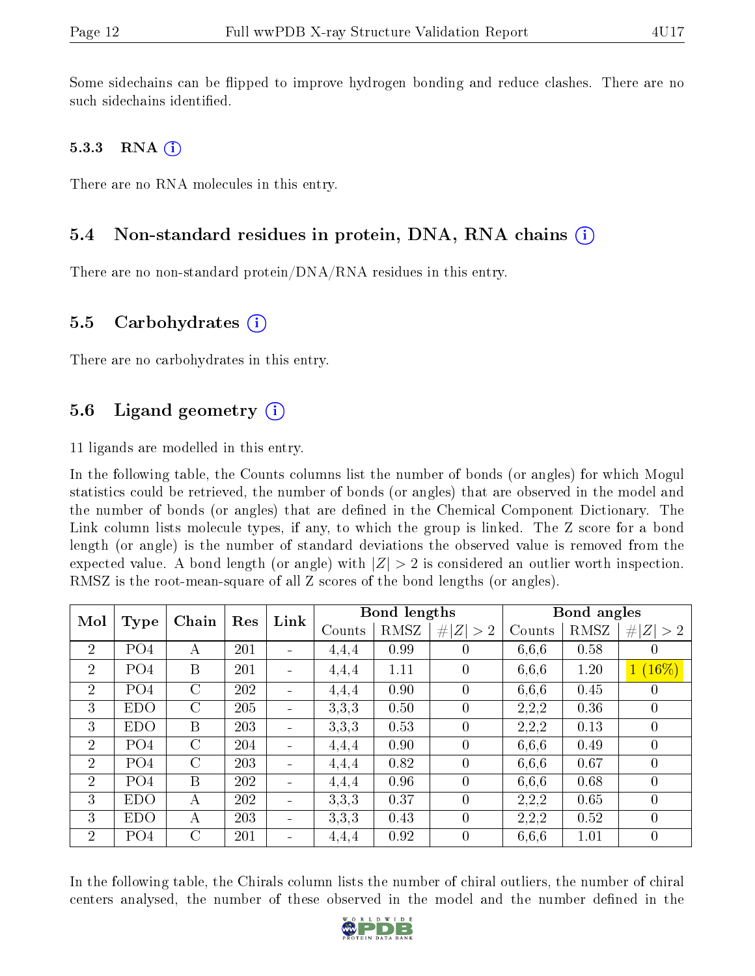Some sidechains can be flipped to improve hydrogen bonding and reduce clashes. There are no such sidechains identified.

#### 5.3.3 RNA $(i)$

There are no RNA molecules in this entry.

#### 5.4 Non-standard residues in protein, DNA, RNA chains (i)

There are no non-standard protein/DNA/RNA residues in this entry.

#### 5.5 Carbohydrates  $(i)$

There are no carbohydrates in this entry.

#### 5.6 Ligand geometry  $(i)$

11 ligands are modelled in this entry.

In the following table, the Counts columns list the number of bonds (or angles) for which Mogul statistics could be retrieved, the number of bonds (or angles) that are observed in the model and the number of bonds (or angles) that are defined in the Chemical Component Dictionary. The Link column lists molecule types, if any, to which the group is linked. The Z score for a bond length (or angle) is the number of standard deviations the observed value is removed from the expected value. A bond length (or angle) with  $|Z| > 2$  is considered an outlier worth inspection. RMSZ is the root-mean-square of all Z scores of the bond lengths (or angles).

| Mol            | Chain<br>Res<br>Type |         | Link |                              | Bond lengths |      |                | Bond angles |      |                  |
|----------------|----------------------|---------|------|------------------------------|--------------|------|----------------|-------------|------|------------------|
|                |                      |         |      |                              | Counts       | RMSZ | Z   > 2        | Counts      | RMSZ | Z   > 2          |
| 2              | PO <sub>4</sub>      | А       | 201  | $\blacksquare$               | 4,4,4        | 0.99 | 0              | 6,6,6       | 0.58 | $\left( \right)$ |
| $\overline{2}$ | PO <sub>4</sub>      | B       | 201  | $\qquad \qquad \blacksquare$ | 4,4,4        | 1.11 | $\theta$       | 6,6,6       | 1.20 | $1(16\%)$        |
| 2              | PO <sub>4</sub>      | $\rm C$ | 202  | $\blacksquare$               | 4.4.4        | 0.90 | $\theta$       | 6,6,6       | 0.45 | $\overline{0}$   |
| 3              | <b>EDO</b>           | C       | 205  | $\overline{\phantom{a}}$     | 3.3.3        | 0.50 | $\theta$       | 2,2,2       | 0.36 | $\overline{0}$   |
| 3              | <b>EDO</b>           | B       | 203  | $\blacksquare$               | 3.3.3        | 0.53 | $\theta$       | 2,2,2       | 0.13 | $\theta$         |
| $\overline{2}$ | PO <sub>4</sub>      | $\rm C$ | 204  | $\qquad \qquad \blacksquare$ | 4,4,4        | 0.90 | $\theta$       | 6,6,6       | 0.49 | $\theta$         |
| 2              | PO <sub>4</sub>      | C       | 203  | $\blacksquare$               | 4,4,4        | 0.82 | $\theta$       | 6,6,6       | 0.67 | $\overline{0}$   |
| 2              | PO <sub>4</sub>      | B       | 202  | $\qquad \qquad \blacksquare$ | 4.4.4        | 0.96 | $\theta$       | 6,6,6       | 0.68 | $\overline{0}$   |
| 3              | <b>EDO</b>           | А       | 202  | $\blacksquare$               | 3.3.3        | 0.37 | $\theta$       | 2,2,2       | 0.65 | $\theta$         |
| 3              | <b>EDO</b>           | A       | 203  | $\blacksquare$               | 3.3.3        | 0.43 | $\theta$       | 2,2,2       | 0.52 | $\theta$         |
| $\overline{2}$ | PO <sub>4</sub>      | C       | 201  |                              | 4.4,4        | 0.92 | $\overline{0}$ | 6,6,6       | 1.01 | $\overline{0}$   |

In the following table, the Chirals column lists the number of chiral outliers, the number of chiral centers analysed, the number of these observed in the model and the number defined in the

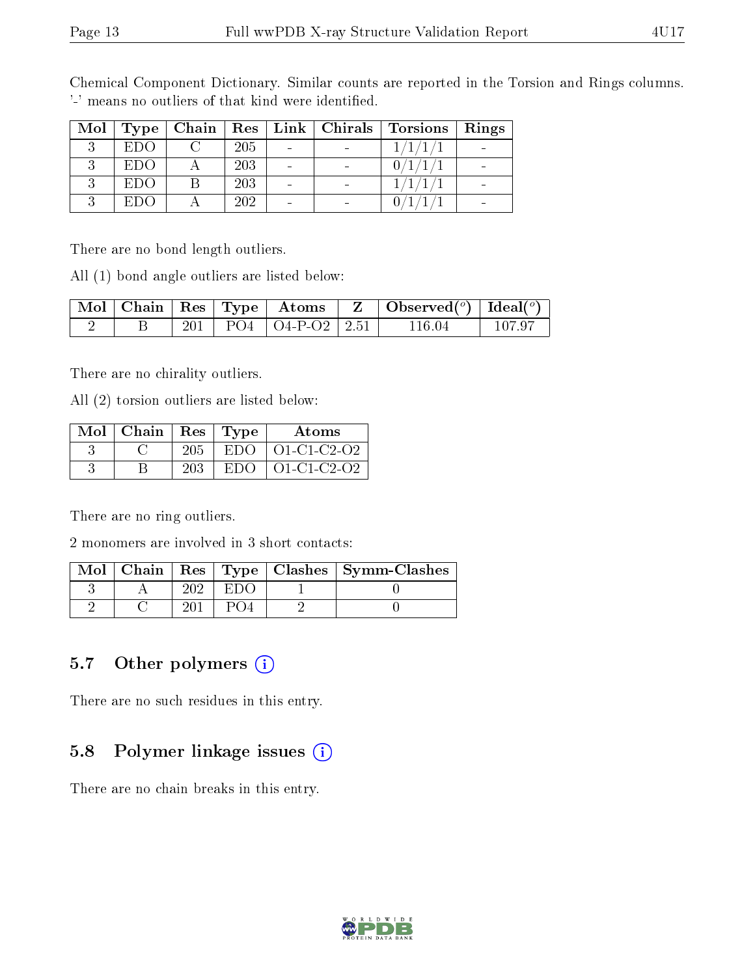| Mol |     | Type   Chain |     |                          | Res   Link   Chirals   Torsions | Rings |
|-----|-----|--------------|-----|--------------------------|---------------------------------|-------|
|     | EDO |              | 205 | $\overline{\phantom{0}}$ |                                 |       |
|     | EDO |              | 203 |                          |                                 |       |
|     | EDO |              | 203 | -                        |                                 |       |
|     |     |              | 202 | -                        |                                 |       |

Chemical Component Dictionary. Similar counts are reported in the Torsion and Rings columns. '-' means no outliers of that kind were identified.

There are no bond length outliers.

All (1) bond angle outliers are listed below:

|  |  |                            | $\Box$ Mol   Chain   Res   Type   Atoms   Z   Observed $(^\circ)$   Ideal $(^\circ)$ |        |
|--|--|----------------------------|--------------------------------------------------------------------------------------|--------|
|  |  | 201   PO4   O4-P-O2   2.51 | 116.04                                                                               | 107.97 |

There are no chirality outliers.

All (2) torsion outliers are listed below:

| Mol   Chain   Res   Type |     |      | Atoms       |
|--------------------------|-----|------|-------------|
|                          | 205 | EDO. | O1-C1-C2-O2 |
|                          | 203 | EDO. | O1-C1-C2-O2 |

There are no ring outliers.

2 monomers are involved in 3 short contacts:

| $Mol$   Chain |        | $\vert$ Res $\vert$ Type $\vert$ Clashes $\vert$ Symm-Clashes |
|---------------|--------|---------------------------------------------------------------|
|               | ET I C |                                                               |
|               |        |                                                               |

#### 5.7 [O](https://www.wwpdb.org/validation/2017/XrayValidationReportHelp#nonstandard_residues_and_ligands)ther polymers  $(i)$

There are no such residues in this entry.

#### 5.8 Polymer linkage issues  $(i)$

There are no chain breaks in this entry.

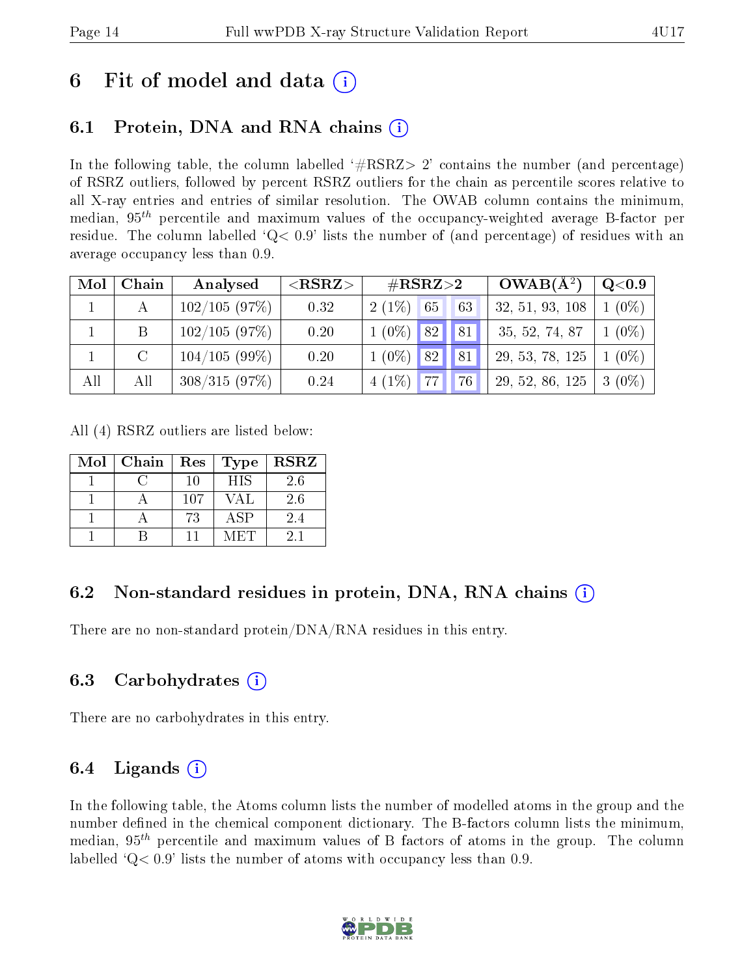### 6 Fit of model and data  $\left( \cdot \right)$

### 6.1 Protein, DNA and RNA chains (i)

In the following table, the column labelled  $#RSRZ>2'$  contains the number (and percentage) of RSRZ outliers, followed by percent RSRZ outliers for the chain as percentile scores relative to all X-ray entries and entries of similar resolution. The OWAB column contains the minimum, median,  $95<sup>th</sup>$  percentile and maximum values of the occupancy-weighted average B-factor per residue. The column labelled  $Q< 0.9$  lists the number of (and percentage) of residues with an average occupancy less than 0.9.

| Mol | Chain         | Analysed        | ${ <\hspace{-1.5pt}{\mathrm{RSRZ}} \hspace{-1.5pt}>}$ | $\#\text{RSRZ}{>}2$ |            | $OWAB(A^2)$     | $\rm Q\textcolor{black}{<}0.9$ |
|-----|---------------|-----------------|-------------------------------------------------------|---------------------|------------|-----------------|--------------------------------|
|     |               | 102/105(97%)    | 0.32                                                  | $2(1\%)$<br>65      | 63         | 32, 51, 93, 108 | $(0\%)$                        |
|     | B             | 102/105(97%)    | 0.20                                                  | $1(0\%)$<br>82      | $\vert$ 81 | 35, 52, 74, 87  | $(0\%)$                        |
|     | $\mathcal{C}$ | $104/105(99\%)$ | 0.20                                                  | $1(0\%)$<br>82      | 81         | 29, 53, 78, 125 | $(0\%)$                        |
| All | All           | 308/315(97%)    | 0.24                                                  | $4(1\%)$<br>77      | 76         | 29, 52, 86, 125 | $(0\%)$<br>$\mathbf{3}$        |

All (4) RSRZ outliers are listed below:

| Mol | Chain | $\operatorname{Res}$ | <b>Type</b> | <b>RSRZ</b> |
|-----|-------|----------------------|-------------|-------------|
|     |       | 10                   | <b>HIS</b>  | 2.6         |
|     |       | 107                  | VAL         | 2.6         |
|     |       | 73                   | ASP         | 2.4         |
|     |       |                      | MET         | 21          |

### 6.2 Non-standard residues in protein, DNA, RNA chains  $(i)$

There are no non-standard protein/DNA/RNA residues in this entry.

#### 6.3 Carbohydrates (i)

There are no carbohydrates in this entry.

#### 6.4 Ligands  $(i)$

In the following table, the Atoms column lists the number of modelled atoms in the group and the number defined in the chemical component dictionary. The B-factors column lists the minimum, median,  $95<sup>th</sup>$  percentile and maximum values of B factors of atoms in the group. The column labelled  $Q < 0.9$ ' lists the number of atoms with occupancy less than 0.9.